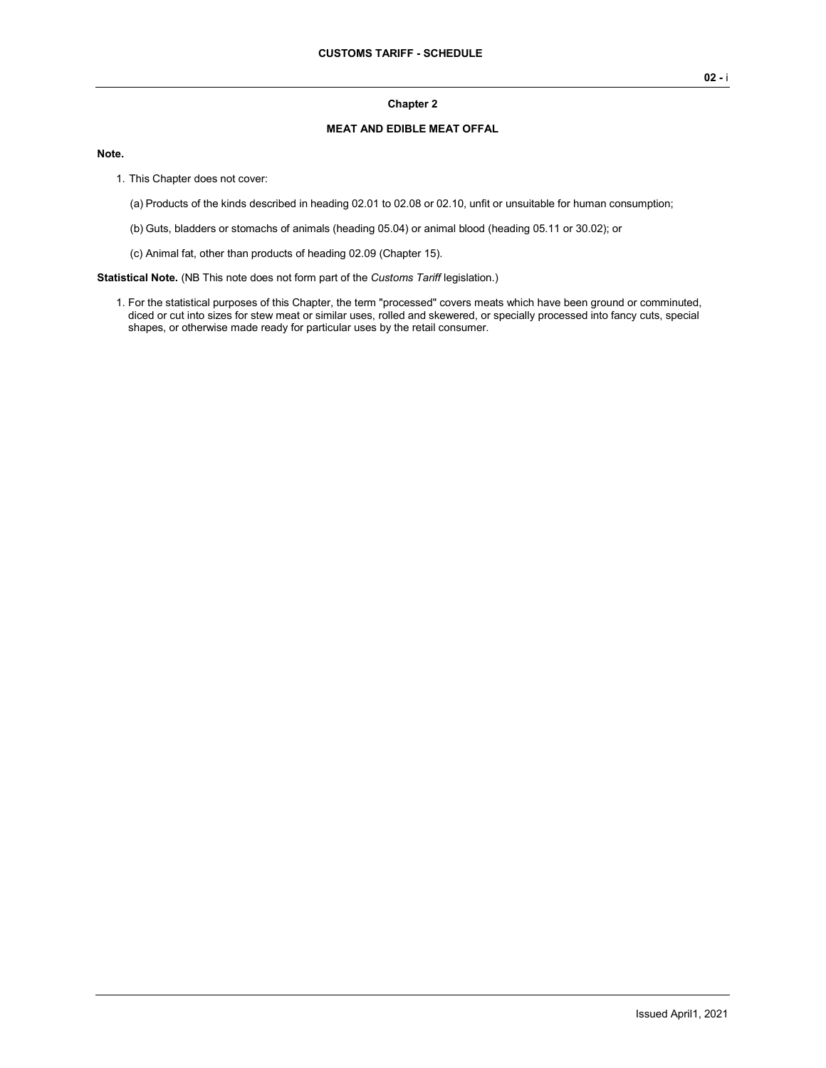## **Chapter 2**

## **MEAT AND EDIBLE MEAT OFFAL**

#### **Note.**

- 1. This Chapter does not cover:
	- (a) Products of the kinds described in heading 02.01 to 02.08 or 02.10, unfit or unsuitable for human consumption;
	- (b) Guts, bladders or stomachs of animals (heading 05.04) or animal blood (heading 05.11 or 30.02); or
	- (c) Animal fat, other than products of heading 02.09 (Chapter 15).

**Statistical Note.** (NB This note does not form part of the *Customs Tariff* legislation.)

1. For the statistical purposes of this Chapter, the term "processed" covers meats which have been ground or comminuted, diced or cut into sizes for stew meat or similar uses, rolled and skewered, or specially processed into fancy cuts, special shapes, or otherwise made ready for particular uses by the retail consumer.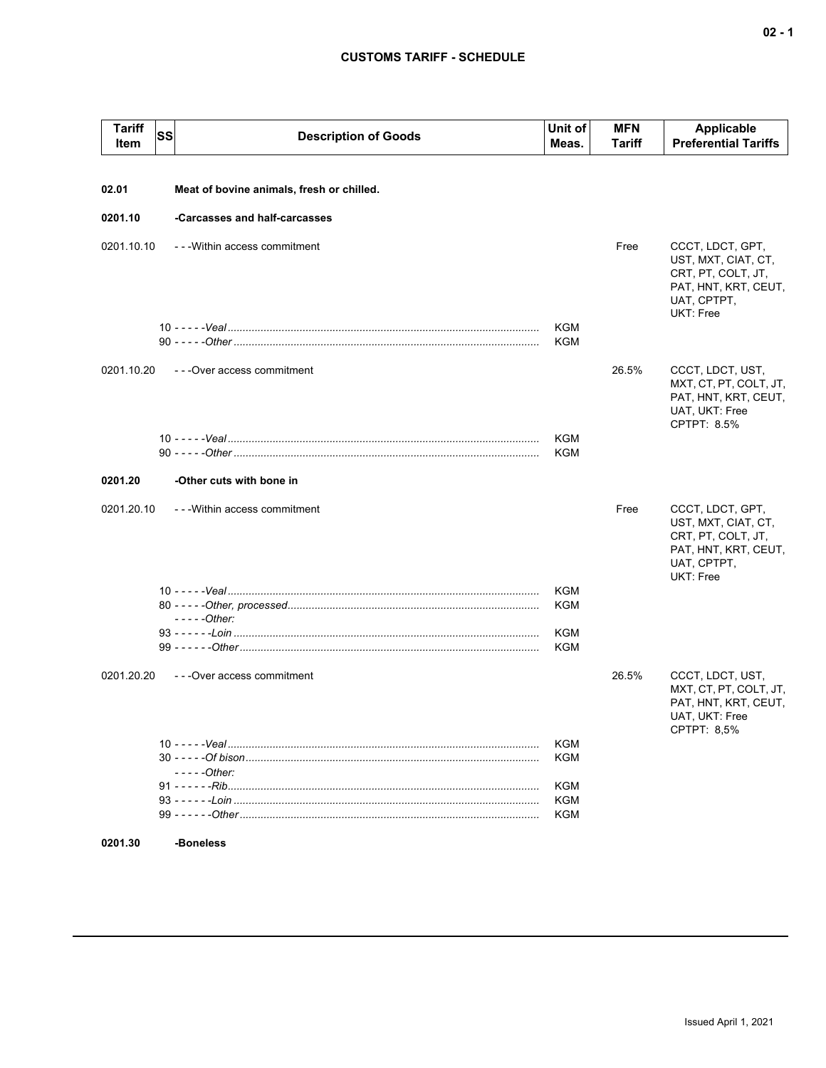## **CUSTOMS TARIFF - SCHEDULE**

| <b>Tariff</b><br>Item | <b>SS</b> | <b>Description of Goods</b>               | Unit of<br>Meas. | <b>MFN</b><br>Tariff | Applicable<br><b>Preferential Tariffs</b>                                                                         |
|-----------------------|-----------|-------------------------------------------|------------------|----------------------|-------------------------------------------------------------------------------------------------------------------|
|                       |           |                                           |                  |                      |                                                                                                                   |
| 02.01                 |           | Meat of bovine animals, fresh or chilled. |                  |                      |                                                                                                                   |
| 0201.10               |           | -Carcasses and half-carcasses             |                  |                      |                                                                                                                   |
| 0201.10.10            |           | --- Within access commitment              |                  | Free                 | CCCT, LDCT, GPT,<br>UST, MXT, CIAT, CT,<br>CRT, PT, COLT, JT,<br>PAT, HNT, KRT, CEUT,<br>UAT, CPTPT,<br>UKT: Free |
|                       |           |                                           | KGM              |                      |                                                                                                                   |
|                       |           |                                           | KGM              |                      |                                                                                                                   |
| 0201.10.20            |           | ---Over access commitment                 |                  | 26.5%                | CCCT, LDCT, UST,<br>MXT, CT, PT, COLT, JT,<br>PAT, HNT, KRT, CEUT,<br>UAT, UKT: Free<br>CPTPT: 8.5%               |
|                       |           |                                           | KGM              |                      |                                                                                                                   |
|                       |           |                                           | KGM              |                      |                                                                                                                   |
| 0201.20               |           | -Other cuts with bone in                  |                  |                      |                                                                                                                   |
| 0201.20.10            |           | --- Within access commitment              |                  | Free                 | CCCT, LDCT, GPT,<br>UST, MXT, CIAT, CT,<br>CRT, PT, COLT, JT,<br>PAT, HNT, KRT, CEUT,<br>UAT, CPTPT,<br>UKT: Free |
|                       |           |                                           | KGM              |                      |                                                                                                                   |
|                       |           | $---Other:$                               | KGM              |                      |                                                                                                                   |
|                       |           |                                           | KGM              |                      |                                                                                                                   |
|                       |           |                                           | KGM              |                      |                                                                                                                   |
| 0201.20.20            |           | ---Over access commitment                 |                  | 26.5%                | CCCT, LDCT, UST,<br>MXT, CT, PT, COLT, JT,<br>PAT, HNT, KRT, CEUT,<br>UAT, UKT: Free<br>CPTPT: 8,5%               |
|                       |           |                                           | KGM              |                      |                                                                                                                   |
|                       |           | $---Other:$                               | KGM              |                      |                                                                                                                   |
|                       |           |                                           | KGM              |                      |                                                                                                                   |
|                       |           |                                           | KGM              |                      |                                                                                                                   |
|                       |           |                                           | KGM              |                      |                                                                                                                   |
| 0201.30               |           | -Boneless                                 |                  |                      |                                                                                                                   |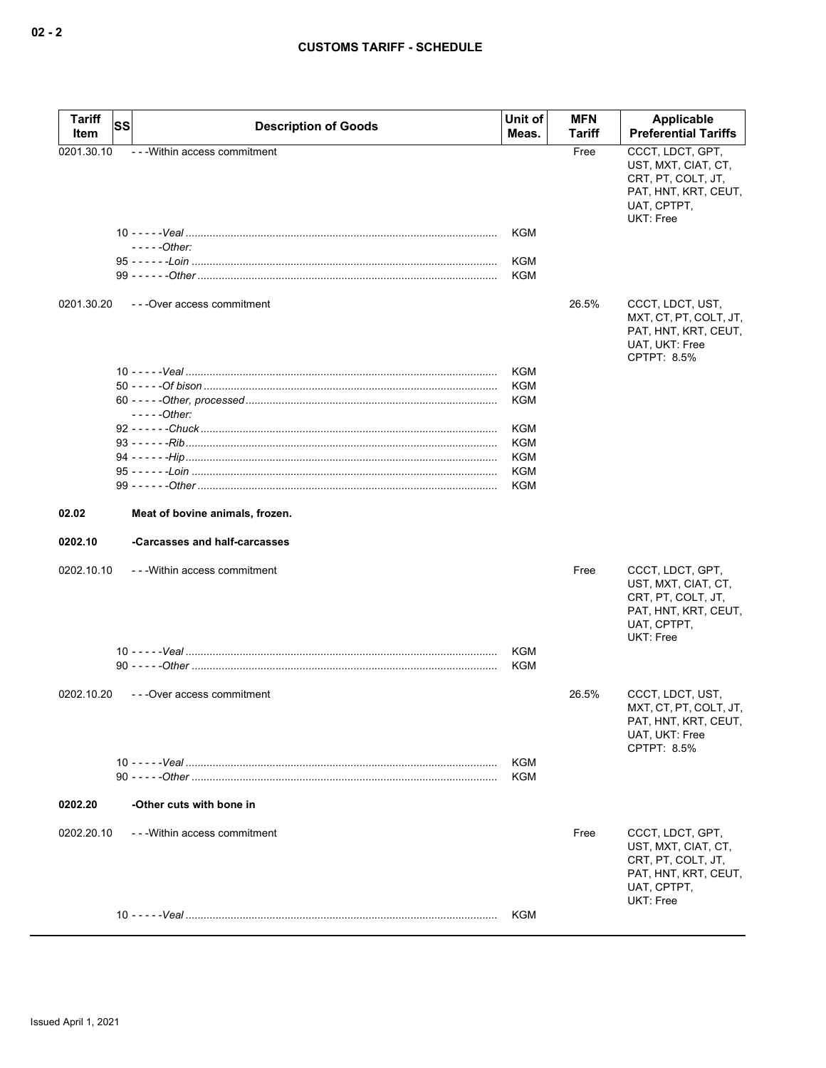| <b>Tariff</b><br><b>SS</b><br>Item | <b>Description of Goods</b>     | Unit of<br>Meas.         | <b>MFN</b><br>Tariff | Applicable<br><b>Preferential Tariffs</b>                                                                                |
|------------------------------------|---------------------------------|--------------------------|----------------------|--------------------------------------------------------------------------------------------------------------------------|
| 0201.30.10                         | - - - Within access commitment  |                          | Free                 | CCCT, LDCT, GPT,<br>UST, MXT, CIAT, CT,<br>CRT, PT, COLT, JT,<br>PAT, HNT, KRT, CEUT,<br>UAT, CPTPT,<br><b>UKT: Free</b> |
|                                    | $---Other:$                     | <b>KGM</b><br><b>KGM</b> |                      |                                                                                                                          |
|                                    |                                 | <b>KGM</b>               |                      |                                                                                                                          |
| 0201.30.20                         | ---Over access commitment       |                          | 26.5%                | CCCT, LDCT, UST,<br>MXT, CT, PT, COLT, JT,<br>PAT, HNT, KRT, CEUT,<br>UAT, UKT: Free<br>CPTPT: 8.5%                      |
|                                    |                                 | KGM                      |                      |                                                                                                                          |
|                                    |                                 | <b>KGM</b>               |                      |                                                                                                                          |
|                                    | $---Other:$                     | <b>KGM</b>               |                      |                                                                                                                          |
|                                    |                                 | KGM                      |                      |                                                                                                                          |
|                                    |                                 | <b>KGM</b>               |                      |                                                                                                                          |
|                                    |                                 | <b>KGM</b>               |                      |                                                                                                                          |
|                                    |                                 | KGM                      |                      |                                                                                                                          |
|                                    |                                 | KGM                      |                      |                                                                                                                          |
| 02.02                              | Meat of bovine animals, frozen. |                          |                      |                                                                                                                          |
| 0202.10                            | -Carcasses and half-carcasses   |                          |                      |                                                                                                                          |
| 0202.10.10                         | ---Within access commitment     |                          | Free                 | CCCT, LDCT, GPT,<br>UST, MXT, CIAT, CT,<br>CRT, PT, COLT, JT,<br>PAT, HNT, KRT, CEUT,<br>UAT, CPTPT,<br>UKT: Free        |
|                                    |                                 | KGM                      |                      |                                                                                                                          |
|                                    |                                 | KGM                      |                      |                                                                                                                          |
| 0202.10.20                         | ---Over access commitment       |                          | 26.5%                | CCCT, LDCT, UST,<br>MXT, CT, PT, COLT, JT,<br>PAT, HNT, KRT, CEUT,<br>UAT, UKT: Free<br>CPTPT: 8.5%                      |
|                                    |                                 | KGM                      |                      |                                                                                                                          |
|                                    |                                 | KGM                      |                      |                                                                                                                          |
| 0202.20                            | -Other cuts with bone in        |                          |                      |                                                                                                                          |
| 0202.20.10                         | - - - Within access commitment  |                          | Free                 | CCCT, LDCT, GPT,<br>UST, MXT, CIAT, CT,<br>CRT, PT, COLT, JT,<br>PAT, HNT, KRT, CEUT,<br>UAT, CPTPT,<br>UKT: Free        |
|                                    |                                 | KGM                      |                      |                                                                                                                          |
|                                    |                                 |                          |                      |                                                                                                                          |

**02 - 2**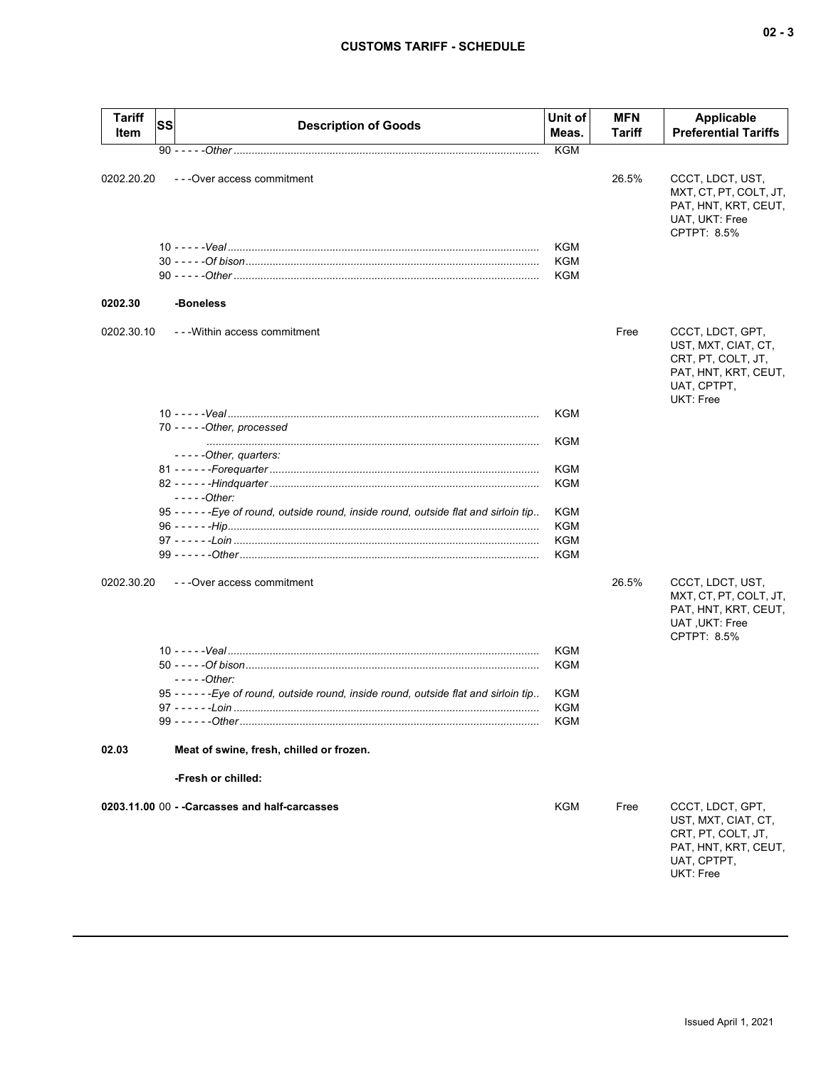| <b>Tariff</b><br>Item | SS | <b>Description of Goods</b>                                                            | Unit of<br>Meas.  | <b>MFN</b><br>Tariff | <b>Applicable</b><br><b>Preferential Tariffs</b>                                                                  |
|-----------------------|----|----------------------------------------------------------------------------------------|-------------------|----------------------|-------------------------------------------------------------------------------------------------------------------|
|                       |    |                                                                                        | <b>KGM</b>        |                      |                                                                                                                   |
| 0202.20.20            |    | - - - Over access commitment                                                           |                   | 26.5%                | CCCT, LDCT, UST,<br>MXT, CT, PT, COLT, JT,<br>PAT, HNT, KRT, CEUT,<br>UAT, UKT: Free<br>CPTPT: 8.5%               |
|                       |    |                                                                                        | KGM<br><b>KGM</b> |                      |                                                                                                                   |
|                       |    |                                                                                        | <b>KGM</b>        |                      |                                                                                                                   |
|                       |    |                                                                                        |                   |                      |                                                                                                                   |
| 0202.30               |    | -Boneless                                                                              |                   |                      |                                                                                                                   |
| 0202.30.10            |    | ---Within access commitment                                                            |                   | Free                 | CCCT, LDCT, GPT,<br>UST, MXT, CIAT, CT,<br>CRT, PT, COLT, JT,<br>PAT, HNT, KRT, CEUT,<br>UAT, CPTPT,<br>UKT: Free |
|                       |    |                                                                                        | KGM               |                      |                                                                                                                   |
|                       |    | 70 - - - - - Other, processed                                                          | KGM               |                      |                                                                                                                   |
|                       |    | -----Other, quarters:                                                                  |                   |                      |                                                                                                                   |
|                       |    |                                                                                        | <b>KGM</b>        |                      |                                                                                                                   |
|                       |    |                                                                                        | <b>KGM</b>        |                      |                                                                                                                   |
|                       |    | $---Other:$                                                                            |                   |                      |                                                                                                                   |
|                       |    | 95 - - - - - - Eye of round, outside round, inside round, outside flat and sirloin tip | KGM               |                      |                                                                                                                   |
|                       |    |                                                                                        | KGM               |                      |                                                                                                                   |
|                       |    |                                                                                        | <b>KGM</b>        |                      |                                                                                                                   |
|                       |    |                                                                                        | <b>KGM</b>        |                      |                                                                                                                   |
| 0202.30.20            |    | ---Over access commitment                                                              |                   | 26.5%                | CCCT, LDCT, UST,<br>MXT, CT, PT, COLT, JT,<br>PAT, HNT, KRT, CEUT,<br>UAT, UKT: Free<br>CPTPT: 8.5%               |
|                       |    |                                                                                        | KGM               |                      |                                                                                                                   |
|                       |    |                                                                                        | <b>KGM</b>        |                      |                                                                                                                   |
|                       |    | $---Other$                                                                             |                   |                      |                                                                                                                   |
|                       |    | 95 - - - - - - Eye of round, outside round, inside round, outside flat and sirloin tip | KGM               |                      |                                                                                                                   |
|                       |    | $97 - - - - -$ oin                                                                     | KGM               |                      |                                                                                                                   |
|                       |    |                                                                                        | KGM               |                      |                                                                                                                   |
| 02.03                 |    | Meat of swine, fresh, chilled or frozen.                                               |                   |                      |                                                                                                                   |
|                       |    | -Fresh or chilled:                                                                     |                   |                      |                                                                                                                   |
|                       |    | 0203.11.00 00 - - Carcasses and half-carcasses                                         | KGM               | Free                 | CCCT, LDCT, GPT,<br>UST, MXT, CIAT, CT,<br>CRT, PT, COLT, JT,<br>PAT, HNT, KRT, CEUT,<br>UAT, CPTPT,<br>UKT: Free |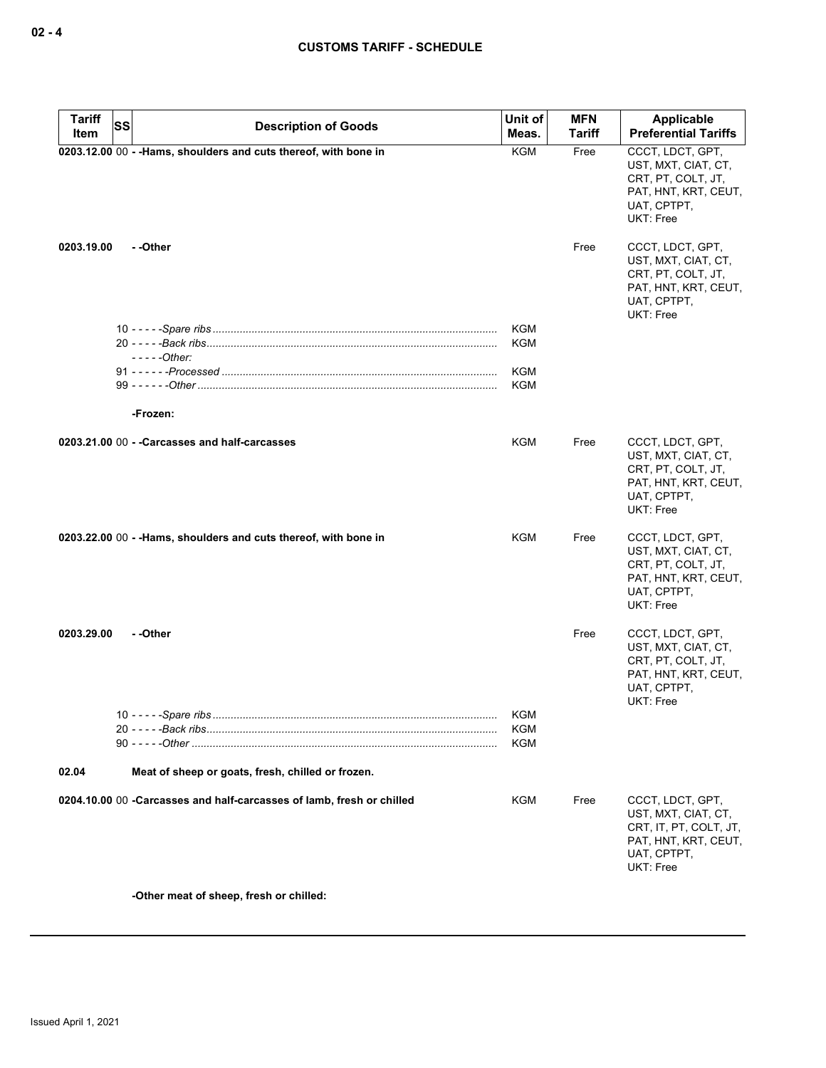| <b>Tariff</b><br>Item | SS | <b>Description of Goods</b>                                           | Unit of<br>Meas.         | <b>MFN</b><br>Tariff | Applicable<br><b>Preferential Tariffs</b>                                                                         |
|-----------------------|----|-----------------------------------------------------------------------|--------------------------|----------------------|-------------------------------------------------------------------------------------------------------------------|
|                       |    | 0203.12.00 00 - - Hams, shoulders and cuts thereof, with bone in      | <b>KGM</b>               | Free                 | CCCT, LDCT, GPT,<br>UST, MXT, CIAT, CT,<br>CRT, PT, COLT, JT,<br>PAT, HNT, KRT, CEUT,<br>UAT, CPTPT,<br>UKT: Free |
| 0203.19.00            |    | - -Other                                                              |                          | Free                 | CCCT, LDCT, GPT,<br>UST, MXT, CIAT, CT,<br>CRT, PT, COLT, JT,<br>PAT, HNT, KRT, CEUT,<br>UAT, CPTPT,<br>UKT: Free |
|                       |    |                                                                       | <b>KGM</b>               |                      |                                                                                                                   |
|                       |    | $---Other:$                                                           | <b>KGM</b>               |                      |                                                                                                                   |
|                       |    |                                                                       | <b>KGM</b>               |                      |                                                                                                                   |
|                       |    |                                                                       | KGM                      |                      |                                                                                                                   |
|                       |    | -Frozen:                                                              |                          |                      |                                                                                                                   |
|                       |    |                                                                       |                          |                      |                                                                                                                   |
|                       |    | 0203.21.00 00 - - Carcasses and half-carcasses                        | <b>KGM</b>               | Free                 | CCCT, LDCT, GPT,<br>UST, MXT, CIAT, CT,<br>CRT, PT, COLT, JT,<br>PAT, HNT, KRT, CEUT,<br>UAT, CPTPT,<br>UKT: Free |
|                       |    | 0203.22.00 00 - - Hams, shoulders and cuts thereof, with bone in      | KGM                      | Free                 | CCCT, LDCT, GPT,<br>UST, MXT, CIAT, CT,<br>CRT, PT, COLT, JT,<br>PAT, HNT, KRT, CEUT,<br>UAT, CPTPT,<br>UKT: Free |
| 0203.29.00            |    | - -Other                                                              |                          | Free                 | CCCT, LDCT, GPT,<br>UST, MXT, CIAT, CT,<br>CRT, PT, COLT, JT,<br>PAT, HNT, KRT, CEUT,<br>UAT, CPTPT,<br>UKT: Free |
|                       |    |                                                                       | KGM<br>KGM<br><b>KGM</b> |                      |                                                                                                                   |
| 02.04                 |    | Meat of sheep or goats, fresh, chilled or frozen.                     |                          |                      |                                                                                                                   |
|                       |    | 0204.10.00 00 -Carcasses and half-carcasses of lamb, fresh or chilled | <b>KGM</b>               | Free                 | CCCT, LDCT, GPT,                                                                                                  |
|                       |    |                                                                       |                          |                      | UST, MXT, CIAT, CT,<br>CRT, IT, PT, COLT, JT,<br>PAT, HNT, KRT, CEUT,<br>UAT, CPTPT,<br>UKT: Free                 |

**-Other meat of sheep, fresh or chilled:**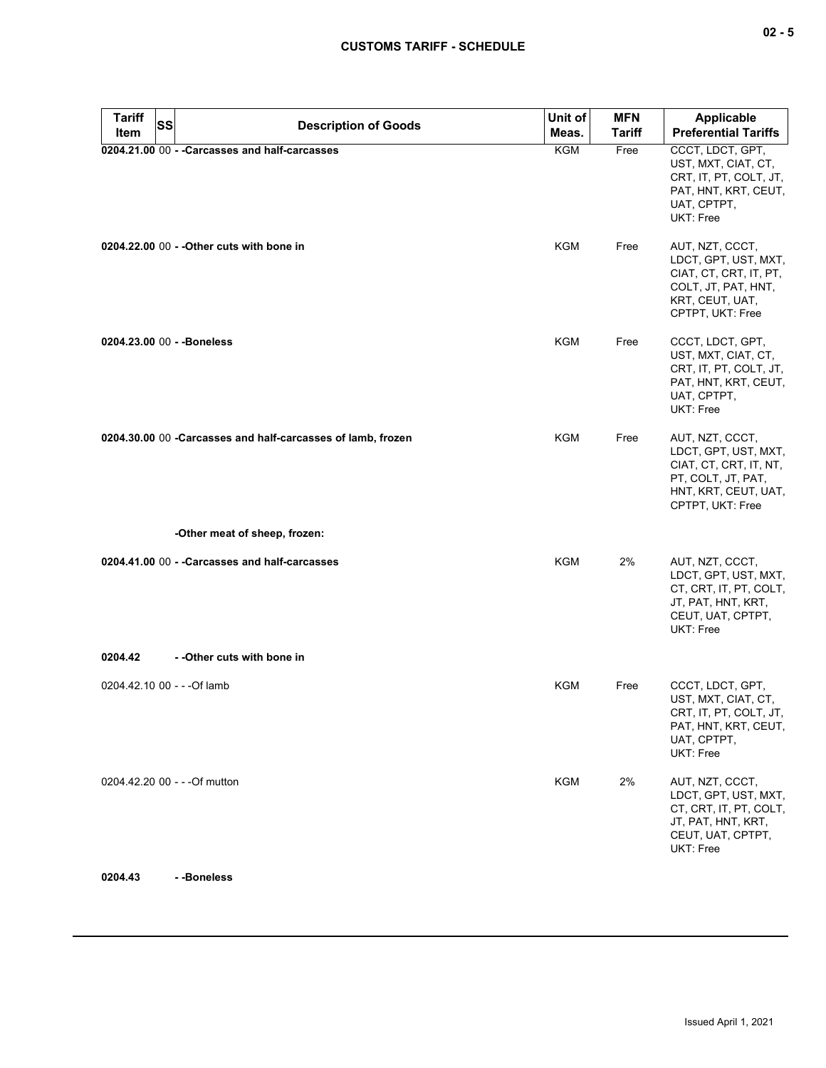| <b>Tariff</b><br><b>SS</b><br>Item | <b>Description of Goods</b>                                 | Unit of<br>Meas. | <b>MFN</b><br><b>Tariff</b> | <b>Applicable</b><br><b>Preferential Tariffs</b>                                                                                    |
|------------------------------------|-------------------------------------------------------------|------------------|-----------------------------|-------------------------------------------------------------------------------------------------------------------------------------|
|                                    | 0204.21.00 00 - - Carcasses and half-carcasses              | KGM              | Free                        | CCCT, LDCT, GPT,<br>UST, MXT, CIAT, CT,<br>CRT, IT, PT, COLT, JT,<br>PAT, HNT, KRT, CEUT,<br>UAT, CPTPT,<br>UKT: Free               |
|                                    | 0204.22.00 00 - - Other cuts with bone in                   | KGM              | Free                        | AUT, NZT, CCCT,<br>LDCT, GPT, UST, MXT,<br>CIAT, CT, CRT, IT, PT,<br>COLT, JT, PAT, HNT,<br>KRT, CEUT, UAT,<br>CPTPT, UKT: Free     |
| 0204.23.00 00 - - Boneless         |                                                             | KGM              | Free                        | CCCT, LDCT, GPT,<br>UST, MXT, CIAT, CT,<br>CRT, IT, PT, COLT, JT,<br>PAT, HNT, KRT, CEUT,<br>UAT, CPTPT,<br>UKT: Free               |
|                                    | 0204.30.00 00 -Carcasses and half-carcasses of lamb, frozen | KGM              | Free                        | AUT, NZT, CCCT,<br>LDCT, GPT, UST, MXT,<br>CIAT, CT, CRT, IT, NT,<br>PT, COLT, JT, PAT,<br>HNT, KRT, CEUT, UAT,<br>CPTPT, UKT: Free |
|                                    | -Other meat of sheep, frozen:                               |                  |                             |                                                                                                                                     |
|                                    | 0204.41.00 00 - - Carcasses and half-carcasses              | <b>KGM</b>       | 2%                          | AUT, NZT, CCCT,<br>LDCT, GPT, UST, MXT,<br>CT, CRT, IT, PT, COLT,<br>JT, PAT, HNT, KRT,<br>CEUT, UAT, CPTPT,<br>UKT: Free           |
| 0204.42                            | - - Other cuts with bone in                                 |                  |                             |                                                                                                                                     |
| 0204.42.10 00 - - - Of lamb        |                                                             | KGM              | Free                        | CCCT, LDCT, GPT,<br>UST, MXT, CIAT, CT,<br>CRT, IT, PT, COLT, JT,<br>PAT, HNT, KRT, CEUT,<br>UAT, CPTPT,<br>UKT: Free               |
|                                    | 0204.42.20 00 - - - Of mutton                               | KGM              | 2%                          | AUT, NZT, CCCT,<br>LDCT, GPT, UST, MXT,<br>CT, CRT, IT, PT, COLT,<br>JT, PAT, HNT, KRT,<br>CEUT, UAT, CPTPT,<br>UKT: Free           |

**0204.43 - -Boneless**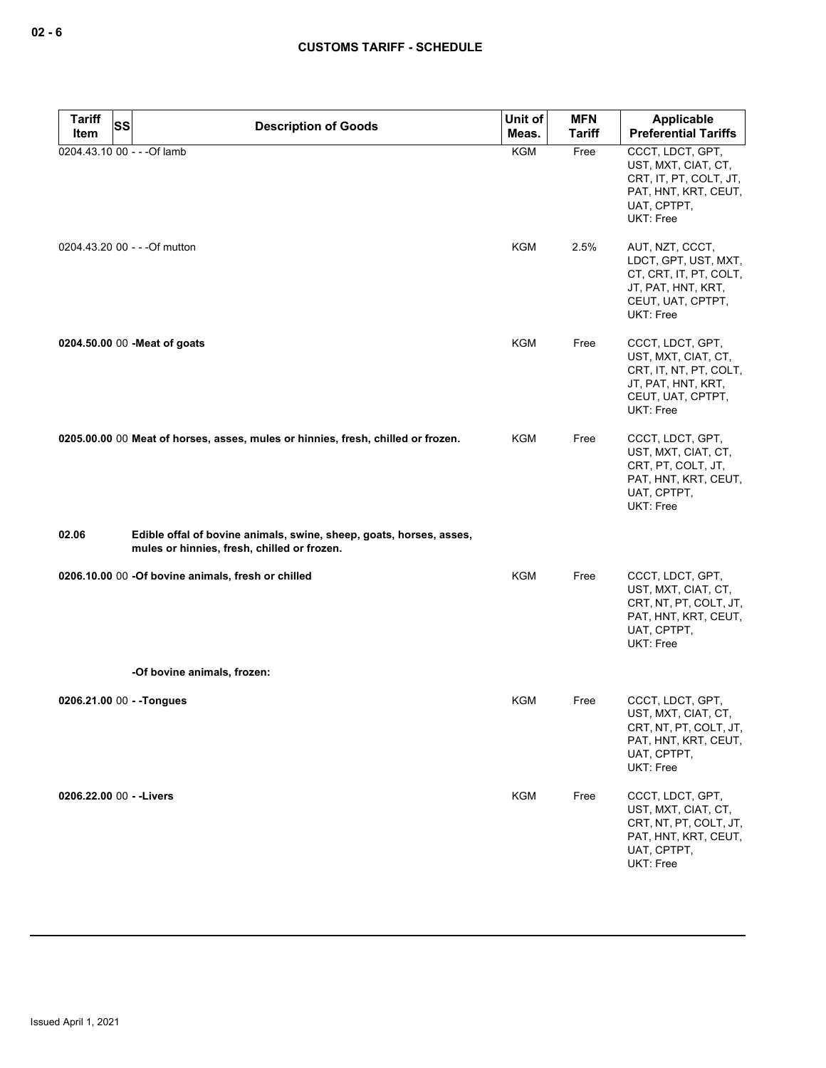| Tariff<br><b>SS</b><br>Item | <b>Description of Goods</b>                                                                                        | Unit of<br>Meas. | <b>MFN</b><br><b>Tariff</b> | Applicable<br><b>Preferential Tariffs</b>                                                                                 |
|-----------------------------|--------------------------------------------------------------------------------------------------------------------|------------------|-----------------------------|---------------------------------------------------------------------------------------------------------------------------|
| 0204.43.10 00 - - - Of lamb |                                                                                                                    | <b>KGM</b>       | Free                        | CCCT, LDCT, GPT,<br>UST, MXT, CIAT, CT,<br>CRT, IT, PT, COLT, JT,<br>PAT, HNT, KRT, CEUT,<br>UAT, CPTPT,<br>UKT: Free     |
|                             | 0204.43.20 00 - - - Of mutton                                                                                      | <b>KGM</b>       | 2.5%                        | AUT, NZT, CCCT,<br>LDCT, GPT, UST, MXT,<br>CT, CRT, IT, PT, COLT,<br>JT, PAT, HNT, KRT,<br>CEUT, UAT, CPTPT,<br>UKT: Free |
|                             | 0204.50.00 00 - Meat of goats                                                                                      | KGM              | Free                        | CCCT, LDCT, GPT,<br>UST, MXT, CIAT, CT,<br>CRT, IT, NT, PT, COLT,<br>JT, PAT, HNT, KRT,<br>CEUT, UAT, CPTPT,<br>UKT: Free |
|                             | 0205.00.00 00 Meat of horses, asses, mules or hinnies, fresh, chilled or frozen.                                   | KGM              | Free                        | CCCT, LDCT, GPT,<br>UST, MXT, CIAT, CT,<br>CRT, PT, COLT, JT,<br>PAT, HNT, KRT, CEUT,<br>UAT, CPTPT,<br>UKT: Free         |
| 02.06                       | Edible offal of bovine animals, swine, sheep, goats, horses, asses,<br>mules or hinnies, fresh, chilled or frozen. |                  |                             |                                                                                                                           |
|                             | 0206.10.00 00 -Of bovine animals, fresh or chilled                                                                 | KGM              | Free                        | CCCT, LDCT, GPT,<br>UST, MXT, CIAT, CT,<br>CRT, NT, PT, COLT, JT,<br>PAT, HNT, KRT, CEUT,<br>UAT, CPTPT,<br>UKT: Free     |
|                             | -Of bovine animals, frozen:                                                                                        |                  |                             |                                                                                                                           |
| 0206.21.00 00 - - Tongues   |                                                                                                                    | KGM              | Free                        | CCCT, LDCT, GPT,<br>UST, MXT, CIAT, CT,<br>CRT, NT, PT, COLT, JT,<br>PAT, HNT, KRT, CEUT,<br>UAT, CPTPT,<br>UKT: Free     |
| 0206.22.00 00 - - Livers    |                                                                                                                    | KGM              | Free                        | CCCT, LDCT, GPT,<br>UST, MXT, CIAT, CT,<br>CRT, NT, PT, COLT, JT,<br>PAT, HNT, KRT, CEUT,<br>UAT, CPTPT,<br>UKT: Free     |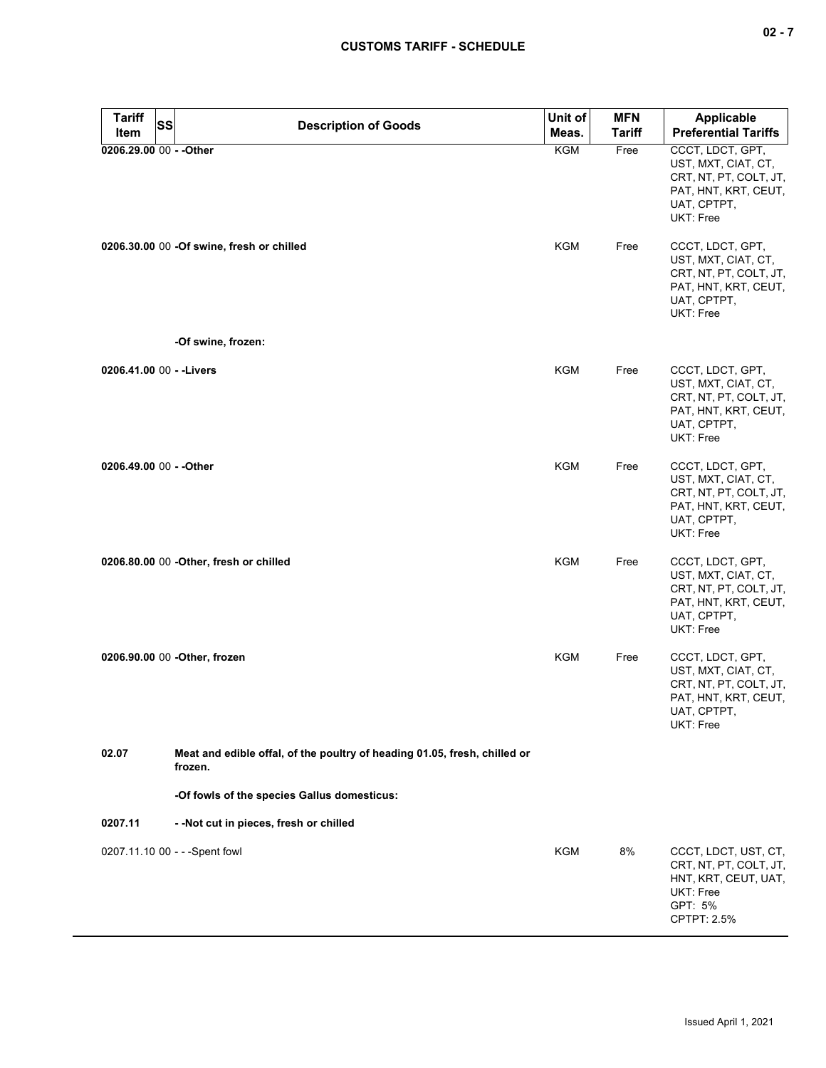| × |  |  |
|---|--|--|
|---|--|--|

| <b>Tariff</b>           | <b>SS</b><br><b>Description of Goods</b>                                             | Unit of    | <b>MFN</b>    | <b>Applicable</b>                                                                                                     |
|-------------------------|--------------------------------------------------------------------------------------|------------|---------------|-----------------------------------------------------------------------------------------------------------------------|
| Item                    |                                                                                      | Meas.      | <b>Tariff</b> | <b>Preferential Tariffs</b>                                                                                           |
| 0206.29.00 00 - - Other |                                                                                      | <b>KGM</b> | Free          | CCCT, LDCT, GPT,<br>UST, MXT, CIAT, CT,<br>CRT, NT, PT, COLT, JT,<br>PAT, HNT, KRT, CEUT,<br>UAT, CPTPT,<br>UKT: Free |
|                         | 0206.30.00 00 -Of swine, fresh or chilled                                            | <b>KGM</b> | Free          | CCCT, LDCT, GPT,<br>UST, MXT, CIAT, CT,<br>CRT, NT, PT, COLT, JT,<br>PAT, HNT, KRT, CEUT,<br>UAT, CPTPT,<br>UKT: Free |
|                         | -Of swine, frozen:                                                                   |            |               |                                                                                                                       |
|                         | 0206.41.00 00 - - Livers                                                             | <b>KGM</b> | Free          | CCCT, LDCT, GPT,<br>UST, MXT, CIAT, CT,<br>CRT, NT, PT, COLT, JT,<br>PAT, HNT, KRT, CEUT,<br>UAT, CPTPT,<br>UKT: Free |
| 0206.49.00 00 - - Other |                                                                                      | <b>KGM</b> | Free          | CCCT, LDCT, GPT,<br>UST, MXT, CIAT, CT,<br>CRT, NT, PT, COLT, JT,<br>PAT, HNT, KRT, CEUT,<br>UAT, CPTPT,<br>UKT: Free |
|                         | 0206.80.00 00 - Other, fresh or chilled                                              | <b>KGM</b> | Free          | CCCT, LDCT, GPT,<br>UST, MXT, CIAT, CT,<br>CRT, NT, PT, COLT, JT,<br>PAT, HNT, KRT, CEUT,<br>UAT, CPTPT,<br>UKT: Free |
|                         | 0206.90.00 00 -Other, frozen                                                         | <b>KGM</b> | Free          | CCCT, LDCT, GPT,<br>UST, MXT, CIAT, CT,<br>CRT, NT, PT, COLT, JT,<br>PAT, HNT, KRT, CEUT,<br>UAT, CPTPT,<br>UKT: Free |
| 02.07                   | Meat and edible offal, of the poultry of heading 01.05, fresh, chilled or<br>frozen. |            |               |                                                                                                                       |
|                         | -Of fowls of the species Gallus domesticus:                                          |            |               |                                                                                                                       |
| 0207.11                 | - - Not cut in pieces, fresh or chilled                                              |            |               |                                                                                                                       |
|                         | 0207.11.10 00 - - - Spent fowl                                                       | KGM        | 8%            | CCCT, LDCT, UST, CT,<br>CRT, NT, PT, COLT, JT,<br>HNT, KRT, CEUT, UAT,<br>UKT: Free<br>GPT: 5%<br>CPTPT: 2.5%         |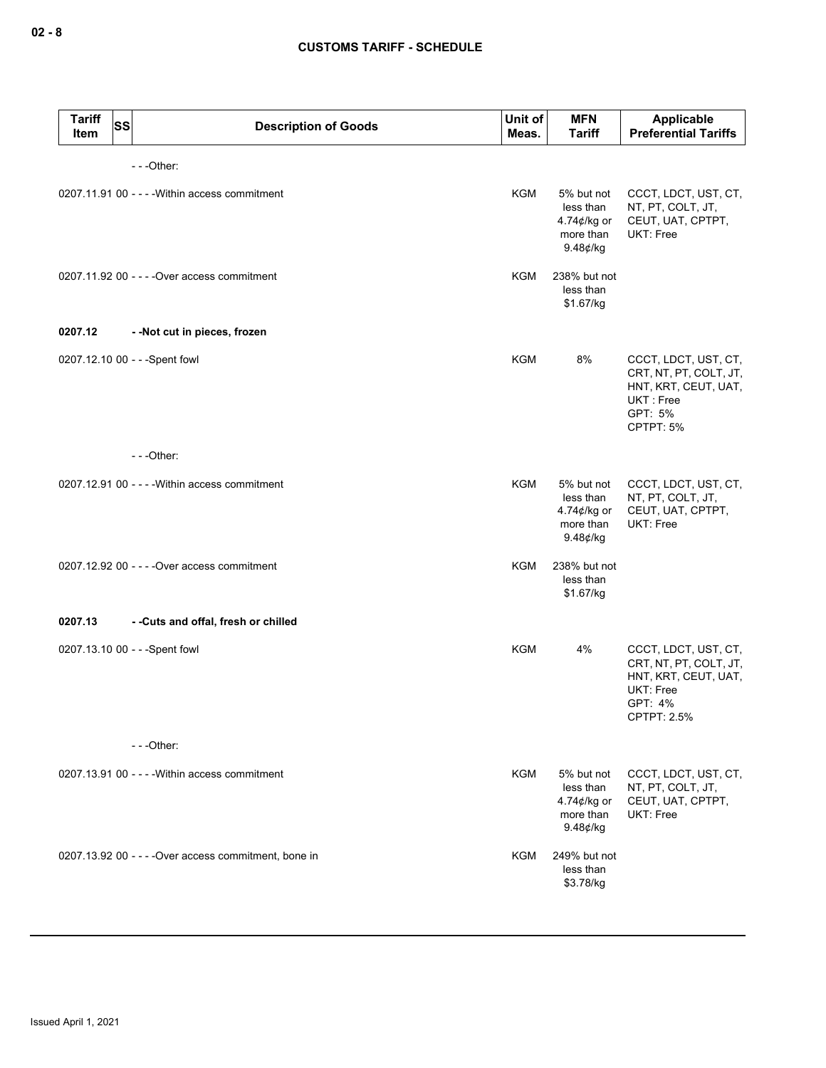| <b>Tariff</b><br><b>SS</b><br>Item | <b>Description of Goods</b>                           | Unit of<br>Meas. | <b>MFN</b><br><b>Tariff</b>                                        | Applicable<br><b>Preferential Tariffs</b>                                                                     |
|------------------------------------|-------------------------------------------------------|------------------|--------------------------------------------------------------------|---------------------------------------------------------------------------------------------------------------|
|                                    | $- -$ Other:                                          |                  |                                                                    |                                                                                                               |
|                                    | 0207.11.91 00 - - - - Within access commitment        | <b>KGM</b>       | 5% but not<br>less than<br>4.74¢/kg or<br>more than<br>$9.48$ ¢/kg | CCCT, LDCT, UST, CT,<br>NT, PT, COLT, JT,<br>CEUT, UAT, CPTPT,<br>UKT: Free                                   |
|                                    | 0207.11.92 00 - - - - Over access commitment          | <b>KGM</b>       | 238% but not<br>less than<br>\$1.67/kg                             |                                                                                                               |
| 0207.12                            | - - Not cut in pieces, frozen                         |                  |                                                                    |                                                                                                               |
|                                    | 0207.12.10 00 - - - Spent fowl                        | <b>KGM</b>       | 8%                                                                 | CCCT, LDCT, UST, CT,<br>CRT, NT, PT, COLT, JT,<br>HNT, KRT, CEUT, UAT,<br>UKT: Free<br>GPT: 5%<br>CPTPT: 5%   |
|                                    | $- -$ Other:                                          |                  |                                                                    |                                                                                                               |
|                                    | 0207.12.91 00 - - - - Within access commitment        | <b>KGM</b>       | 5% but not<br>less than<br>4.74¢/kg or<br>more than<br>$9.48$ ¢/kg | CCCT, LDCT, UST, CT,<br>NT, PT, COLT, JT,<br>CEUT, UAT, CPTPT,<br><b>UKT: Free</b>                            |
|                                    | 0207.12.92 00 - - - - Over access commitment          | KGM              | 238% but not<br>less than<br>\$1.67/kg                             |                                                                                                               |
| 0207.13                            | - - Cuts and offal, fresh or chilled                  |                  |                                                                    |                                                                                                               |
|                                    | 0207.13.10 00 - - - Spent fowl                        | <b>KGM</b>       | 4%                                                                 | CCCT, LDCT, UST, CT,<br>CRT, NT, PT, COLT, JT,<br>HNT, KRT, CEUT, UAT,<br>UKT: Free<br>GPT: 4%<br>CPTPT: 2.5% |
|                                    | $--$ Other:                                           |                  |                                                                    |                                                                                                               |
|                                    | $0207.13.91$ 00 - - - - Within access commitment      | KGM              | 5% but not<br>less than<br>4.74¢/kg or<br>more than<br>$9.48$ ¢/kg | CCCT, LDCT, UST, CT,<br>NT, PT, COLT, JT,<br>CEUT, UAT, CPTPT,<br>UKT: Free                                   |
|                                    | 0207.13.92 00 - - - - Over access commitment, bone in | KGM              | 249% but not<br>less than<br>\$3.78/kg                             |                                                                                                               |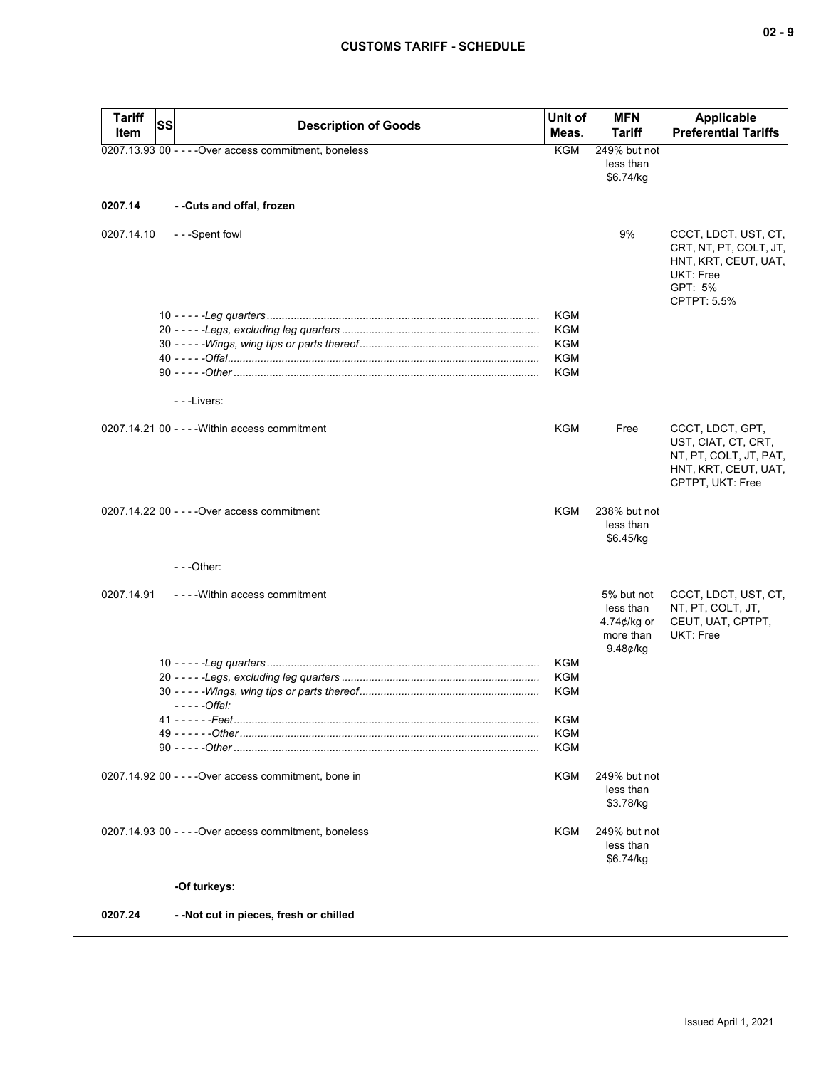| <b>Tariff</b><br>Item | SS | <b>Description of Goods</b>                            | Unit of<br>Meas. | <b>MFN</b><br><b>Tariff</b>                                               | <b>Applicable</b><br><b>Preferential Tariffs</b>                                                              |
|-----------------------|----|--------------------------------------------------------|------------------|---------------------------------------------------------------------------|---------------------------------------------------------------------------------------------------------------|
|                       |    | 0207.13.93 00 - - - - Over access commitment, boneless | <b>KGM</b>       | 249% but not<br>less than<br>\$6.74/kg                                    |                                                                                                               |
| 0207.14               |    | - -Cuts and offal, frozen                              |                  |                                                                           |                                                                                                               |
| 0207.14.10            |    | - - -Spent fowl                                        |                  | 9%                                                                        | CCCT, LDCT, UST, CT,<br>CRT, NT, PT, COLT, JT,<br>HNT, KRT, CEUT, UAT,<br>UKT: Free<br>GPT: 5%<br>CPTPT: 5.5% |
|                       |    |                                                        | KGM              |                                                                           |                                                                                                               |
|                       |    |                                                        | KGM              |                                                                           |                                                                                                               |
|                       |    |                                                        | KGM              |                                                                           |                                                                                                               |
|                       |    |                                                        | KGM<br>KGM       |                                                                           |                                                                                                               |
|                       |    |                                                        |                  |                                                                           |                                                                                                               |
|                       |    | - - - Livers:                                          |                  |                                                                           |                                                                                                               |
|                       |    | 0207.14.21 00 - - - - Within access commitment         | KGM              | Free                                                                      | CCCT, LDCT, GPT,<br>UST, CIAT, CT, CRT,<br>NT, PT, COLT, JT, PAT,<br>HNT, KRT, CEUT, UAT,<br>CPTPT, UKT: Free |
|                       |    | 0207.14.22 00 - - - - Over access commitment           | KGM              | 238% but not<br>less than<br>\$6.45/kg                                    |                                                                                                               |
|                       |    | $- -$ Other:                                           |                  |                                                                           |                                                                                                               |
| 0207.14.91            |    | ----Within access commitment                           |                  | 5% but not<br>less than<br>4.74 $\phi$ /kg or<br>more than<br>$9.48$ ¢/kg | CCCT, LDCT, UST, CT,<br>NT, PT, COLT, JT,<br>CEUT, UAT, CPTPT,<br>UKT: Free                                   |
|                       |    |                                                        | <b>KGM</b>       |                                                                           |                                                                                                               |
|                       |    |                                                        | <b>KGM</b>       |                                                                           |                                                                                                               |
|                       |    | - - - - - Offal:                                       | <b>KGM</b>       |                                                                           |                                                                                                               |
|                       |    |                                                        | KGM              |                                                                           |                                                                                                               |
|                       |    |                                                        | KGM              |                                                                           |                                                                                                               |
|                       |    |                                                        | KGM              |                                                                           |                                                                                                               |
|                       |    | 0207.14.92 00 - - - - Over access commitment, bone in  | KGM              | 249% but not<br>less than<br>\$3.78/kg                                    |                                                                                                               |
|                       |    | 0207.14.93 00 - - - - Over access commitment. boneless | KGM              | 249% but not<br>less than<br>\$6.74/kg                                    |                                                                                                               |
|                       |    | -Of turkeys:                                           |                  |                                                                           |                                                                                                               |
| 0207.24               |    | - - Not cut in pieces, fresh or chilled                |                  |                                                                           |                                                                                                               |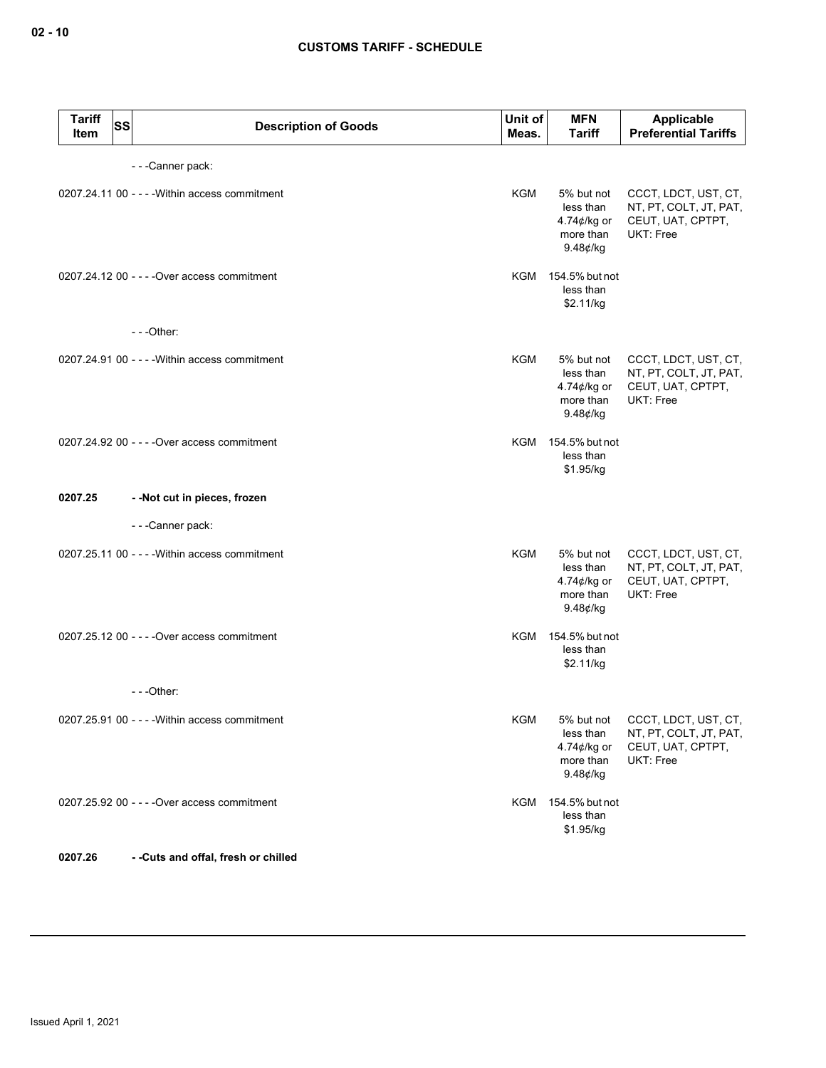| <b>Tariff</b><br>Item | <b>SS</b> | <b>Description of Goods</b>                    | Unit of<br>Meas. | <b>MFN</b><br><b>Tariff</b>                                        | Applicable<br><b>Preferential Tariffs</b>                                        |
|-----------------------|-----------|------------------------------------------------|------------------|--------------------------------------------------------------------|----------------------------------------------------------------------------------|
|                       |           | ---Canner pack:                                |                  |                                                                    |                                                                                  |
|                       |           | 0207.24.11 00 - - - - Within access commitment | <b>KGM</b>       | 5% but not<br>less than<br>4.74¢/kg or<br>more than<br>$9.48$ ¢/kg | CCCT, LDCT, UST, CT,<br>NT, PT, COLT, JT, PAT,<br>CEUT, UAT, CPTPT,<br>UKT: Free |
|                       |           | 0207.24.12 00 - - - - Over access commitment   | KGM              | 154.5% but not<br>less than<br>\$2.11/kg                           |                                                                                  |
|                       |           | $- -$ Other:                                   |                  |                                                                    |                                                                                  |
|                       |           | 0207.24.91 00 - - - - Within access commitment | <b>KGM</b>       | 5% but not<br>less than<br>4.74¢/kg or<br>more than<br>$9.48$ ¢/kg | CCCT, LDCT, UST, CT,<br>NT, PT, COLT, JT, PAT,<br>CEUT, UAT, CPTPT,<br>UKT: Free |
|                       |           | 0207.24.92 00 - - - - Over access commitment   |                  | KGM 154.5% but not<br>less than<br>\$1.95/kg                       |                                                                                  |
| 0207.25               |           | - - Not cut in pieces, frozen                  |                  |                                                                    |                                                                                  |
|                       |           | - - - Canner pack:                             |                  |                                                                    |                                                                                  |
|                       |           | 0207.25.11 00 - - - - Within access commitment | <b>KGM</b>       | 5% but not<br>less than<br>4.74¢/kg or<br>more than<br>$9.48$ ¢/kg | CCCT, LDCT, UST, CT,<br>NT, PT, COLT, JT, PAT,<br>CEUT, UAT, CPTPT,<br>UKT: Free |
|                       |           | 0207.25.12 00 - - - - Over access commitment   |                  | KGM 154.5% but not<br>less than<br>\$2.11/kg                       |                                                                                  |
|                       |           | $- -$ Other:                                   |                  |                                                                    |                                                                                  |
|                       |           | 0207.25.91 00 - - - - Within access commitment | <b>KGM</b>       | 5% but not<br>less than<br>4.74¢/kg or<br>more than<br>$9.48$ ¢/kg | CCCT, LDCT, UST, CT,<br>NT, PT, COLT, JT, PAT,<br>CEUT, UAT, CPTPT,<br>UKT: Free |
|                       |           | 0207.25.92 00 - - - - Over access commitment   | KGM              | 154.5% but not<br>less than<br>\$1.95/kg                           |                                                                                  |
| 0207.26               |           | --Cuts and offal, fresh or chilled             |                  |                                                                    |                                                                                  |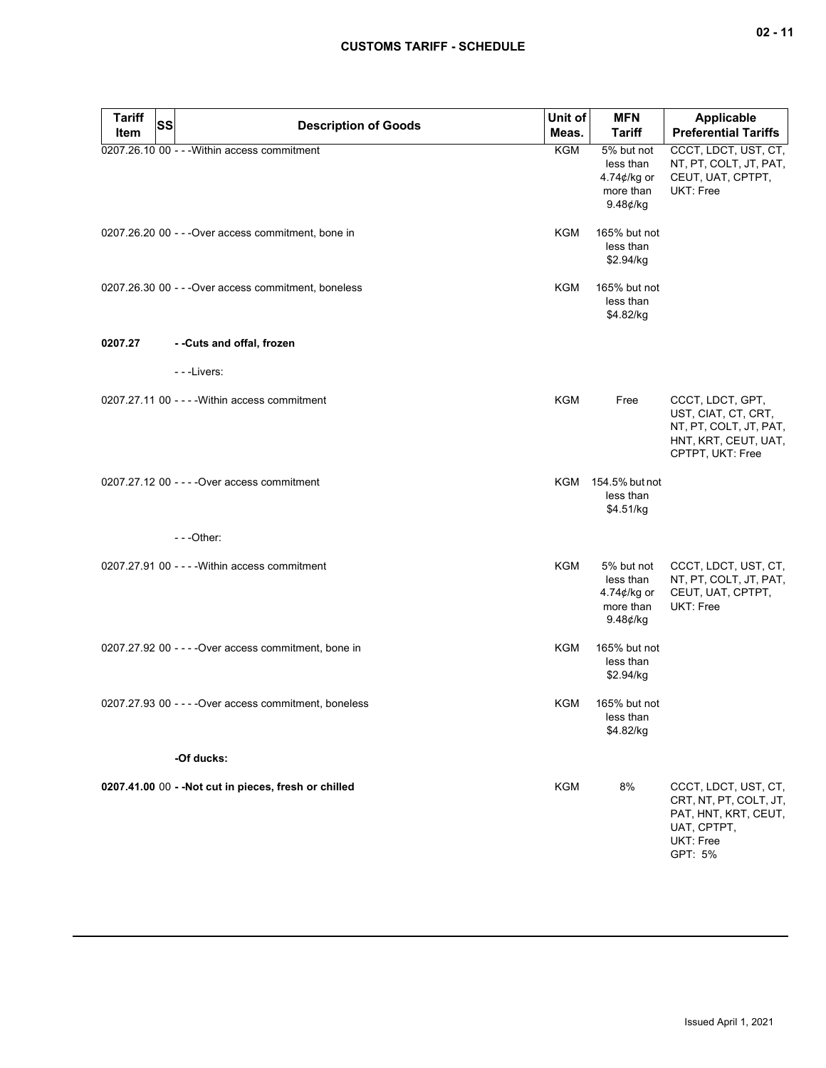# **CUSTOMS TARIFF - SCHEDULE**

| <b>Tariff</b><br>Item | <b>SS</b><br><b>Description of Goods</b>               | Unit of<br>Meas. | <b>MFN</b><br><b>Tariff</b>                                               | <b>Applicable</b><br><b>Preferential Tariffs</b>                                                              |
|-----------------------|--------------------------------------------------------|------------------|---------------------------------------------------------------------------|---------------------------------------------------------------------------------------------------------------|
|                       | 0207.26.10 00 - - - Within access commitment           | <b>KGM</b>       | 5% but not<br>less than<br>4.74 $\not\in$ /kg or<br>more than<br>9.48¢/kg | CCCT, LDCT, UST, CT,<br>NT, PT, COLT, JT, PAT,<br>CEUT, UAT, CPTPT,<br>UKT: Free                              |
|                       | 0207.26.20 00 - - - Over access commitment, bone in    | KGM              | 165% but not<br>less than<br>\$2.94/kg                                    |                                                                                                               |
|                       | 0207.26.30 00 - - - Over access commitment, boneless   | <b>KGM</b>       | 165% but not<br>less than<br>\$4.82/kg                                    |                                                                                                               |
| 0207.27               | - -Cuts and offal, frozen                              |                  |                                                                           |                                                                                                               |
|                       | - - - Livers:                                          |                  |                                                                           |                                                                                                               |
|                       | $0207.27.1100 - -$ - Within access commitment          | <b>KGM</b>       | Free                                                                      | CCCT, LDCT, GPT,<br>UST, CIAT, CT, CRT,<br>NT, PT, COLT, JT, PAT,<br>HNT, KRT, CEUT, UAT,<br>CPTPT, UKT: Free |
|                       | 0207.27.12 00 - - - - Over access commitment           |                  | KGM 154.5% but not<br>less than<br>\$4.51/kg                              |                                                                                                               |
|                       | $- -$ Other:                                           |                  |                                                                           |                                                                                                               |
|                       | 0207.27.91 00 - - - - Within access commitment         | KGM              | 5% but not<br>less than<br>4.74 $\not\in$ /kg or<br>more than<br>9.48¢/kg | CCCT, LDCT, UST, CT,<br>NT, PT, COLT, JT, PAT,<br>CEUT, UAT, CPTPT,<br>UKT: Free                              |
|                       | 0207.27.92 00 - - - - Over access commitment, bone in  | KGM              | 165% but not<br>less than<br>\$2.94/kg                                    |                                                                                                               |
|                       | 0207.27.93 00 - - - - Over access commitment, boneless | KGM              | 165% but not<br>less than<br>\$4.82/kg                                    |                                                                                                               |
|                       | -Of ducks:                                             |                  |                                                                           |                                                                                                               |
|                       | 0207.41.00 00 - - Not cut in pieces, fresh or chilled  | <b>KGM</b>       | 8%                                                                        | CCCT, LDCT, UST, CT,<br>CRT, NT, PT, COLT, JT,<br>PAT, HNT, KRT, CEUT,<br>UAT, CPTPT,<br>UKT: Free<br>GPT: 5% |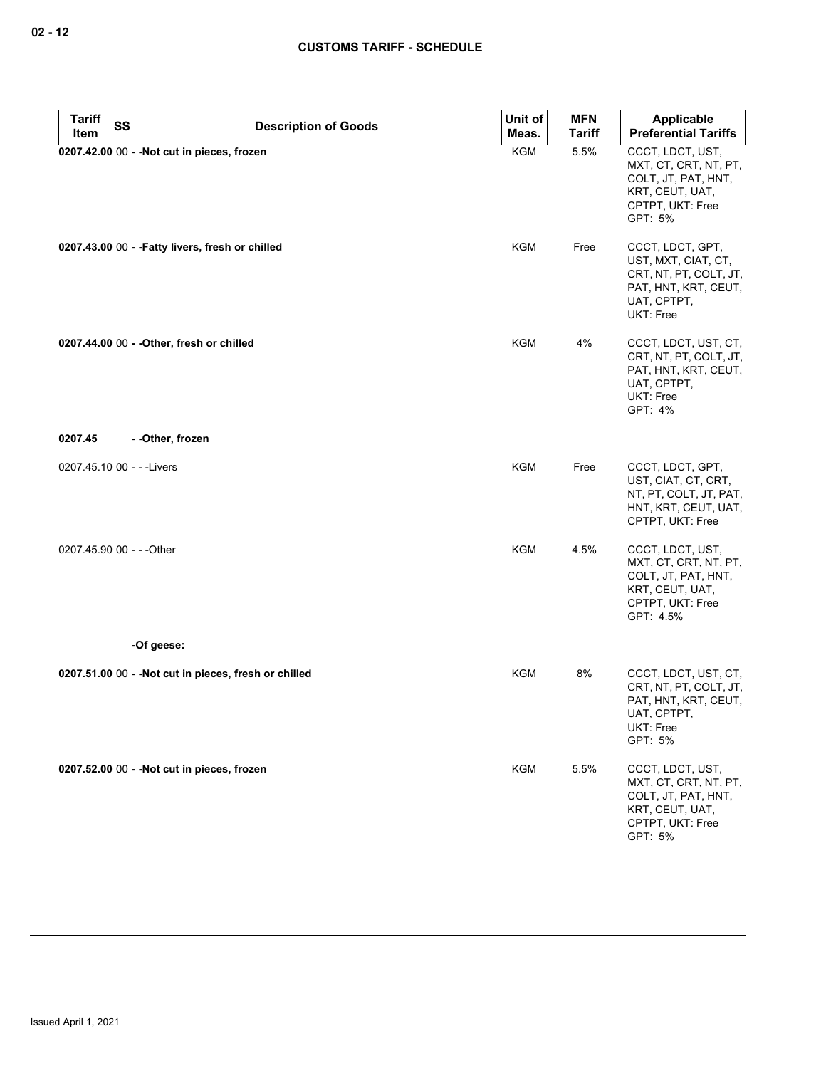| <b>Tariff</b><br><b>SS</b> | <b>Description of Goods</b>                           | Unit of    | <b>MFN</b>    | Applicable                                                                                                                   |
|----------------------------|-------------------------------------------------------|------------|---------------|------------------------------------------------------------------------------------------------------------------------------|
| Item                       |                                                       | Meas.      | <b>Tariff</b> | <b>Preferential Tariffs</b>                                                                                                  |
|                            | 0207.42.00 00 - - Not cut in pieces, frozen           | <b>KGM</b> | 5.5%          | CCCT, LDCT, UST,<br>MXT, CT, CRT, NT, PT,<br>COLT, JT, PAT, HNT,<br>KRT, CEUT, UAT,<br>CPTPT, UKT: Free<br>GPT: 5%           |
|                            | 0207.43.00 00 - - Fatty livers, fresh or chilled      | KGM        | Free          | CCCT, LDCT, GPT,<br>UST, MXT, CIAT, CT,<br>CRT, NT, PT, COLT, JT,<br>PAT, HNT, KRT, CEUT,<br>UAT, CPTPT,<br><b>UKT: Free</b> |
|                            | 0207.44.00 00 - - Other, fresh or chilled             | <b>KGM</b> | 4%            | CCCT, LDCT, UST, CT,<br>CRT, NT, PT, COLT, JT,<br>PAT, HNT, KRT, CEUT,<br>UAT, CPTPT,<br>UKT: Free<br>GPT: 4%                |
| 0207.45                    | - - Other, frozen                                     |            |               |                                                                                                                              |
|                            |                                                       |            |               |                                                                                                                              |
| 0207.45.10 00 - - - Livers |                                                       | <b>KGM</b> | Free          | CCCT, LDCT, GPT,<br>UST, CIAT, CT, CRT,<br>NT, PT, COLT, JT, PAT,<br>HNT, KRT, CEUT, UAT,<br>CPTPT, UKT: Free                |
| 0207.45.90 00 - - - Other  |                                                       | <b>KGM</b> | 4.5%          | CCCT, LDCT, UST,<br>MXT, CT, CRT, NT, PT,<br>COLT, JT, PAT, HNT,<br>KRT, CEUT, UAT,<br>CPTPT, UKT: Free<br>GPT: 4.5%         |
|                            | -Of geese:                                            |            |               |                                                                                                                              |
|                            | 0207.51.00 00 - - Not cut in pieces, fresh or chilled | KGM        | 8%            | CCCT, LDCT, UST, CT,<br>CRT, NT, PT, COLT, JT,<br>PAT, HNT, KRT, CEUT,<br>UAT, CPTPT,<br>UKT: Free<br>GPT: 5%                |
|                            | 0207.52.00 00 - - Not cut in pieces, frozen           | KGM        | 5.5%          | CCCT, LDCT, UST,<br>MXT, CT, CRT, NT, PT,<br>COLT, JT, PAT, HNT,<br>KRT, CEUT, UAT,<br>CPTPT, UKT: Free<br>GPT: 5%           |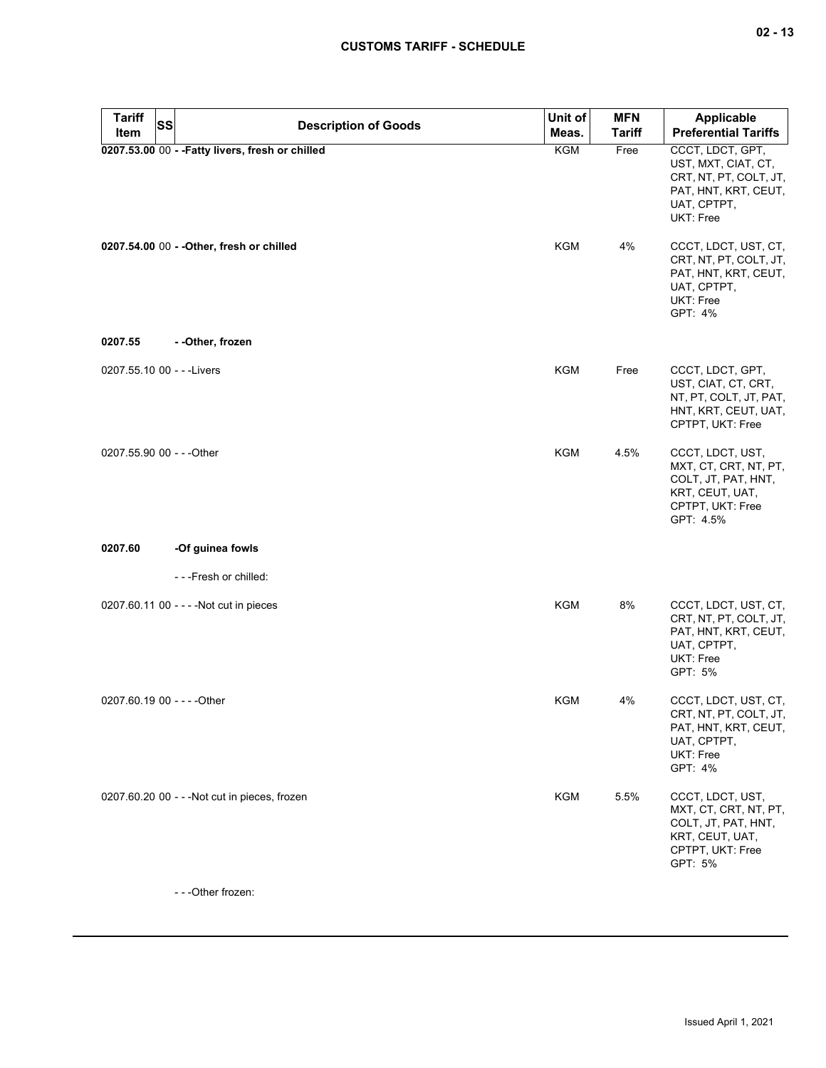# **CUSTOMS TARIFF - SCHEDULE**

| <b>Tariff</b><br><b>SS</b>  | <b>Description of Goods</b>                      | Unit of    | <b>MFN</b>    | <b>Applicable</b>                                                                                                     |
|-----------------------------|--------------------------------------------------|------------|---------------|-----------------------------------------------------------------------------------------------------------------------|
| Item                        |                                                  | Meas.      | <b>Tariff</b> | <b>Preferential Tariffs</b>                                                                                           |
|                             | 0207.53.00 00 - - Fatty livers, fresh or chilled | <b>KGM</b> | Free          | CCCT, LDCT, GPT,<br>UST, MXT, CIAT, CT,<br>CRT, NT, PT, COLT, JT,<br>PAT, HNT, KRT, CEUT,<br>UAT, CPTPT,<br>UKT: Free |
|                             | 0207.54.00 00 - - Other, fresh or chilled        | KGM        | 4%            | CCCT, LDCT, UST, CT,<br>CRT, NT, PT, COLT, JT,<br>PAT, HNT, KRT, CEUT,<br>UAT, CPTPT,<br>UKT: Free<br>GPT: 4%         |
| 0207.55                     | - -Other, frozen                                 |            |               |                                                                                                                       |
| 0207.55.10 00 - - - Livers  |                                                  | KGM        | Free          | CCCT, LDCT, GPT,<br>UST, CIAT, CT, CRT,<br>NT, PT, COLT, JT, PAT,<br>HNT, KRT, CEUT, UAT,<br>CPTPT, UKT: Free         |
| 0207.55.90 00 - - - Other   |                                                  | KGM        | 4.5%          | CCCT, LDCT, UST,<br>MXT, CT, CRT, NT, PT,<br>COLT, JT, PAT, HNT,<br>KRT, CEUT, UAT,<br>CPTPT, UKT: Free<br>GPT: 4.5%  |
| 0207.60                     | -Of guinea fowls                                 |            |               |                                                                                                                       |
|                             | ---Fresh or chilled:                             |            |               |                                                                                                                       |
|                             | 0207.60.11 00 - - - - Not cut in pieces          | KGM        | 8%            | CCCT, LDCT, UST, CT,<br>CRT, NT, PT, COLT, JT,<br>PAT, HNT, KRT, CEUT,<br>UAT, CPTPT,<br>UKT: Free<br>GPT: 5%         |
| 0207.60.19 00 - - - - Other |                                                  | <b>KGM</b> | 4%            | CCCT, LDCT, UST, CT,<br>CRT, NT, PT, COLT, JT,<br>PAT, HNT, KRT, CEUT,<br>UAT, CPTPT,<br>UKT: Free<br>GPT: 4%         |
|                             | 0207.60.20 00 - - - Not cut in pieces, frozen    | <b>KGM</b> | 5.5%          | CCCT, LDCT, UST,<br>MXT, CT, CRT, NT, PT,<br>COLT, JT, PAT, HNT,<br>KRT, CEUT, UAT,<br>CPTPT, UKT: Free<br>GPT: 5%    |

- - -Other frozen: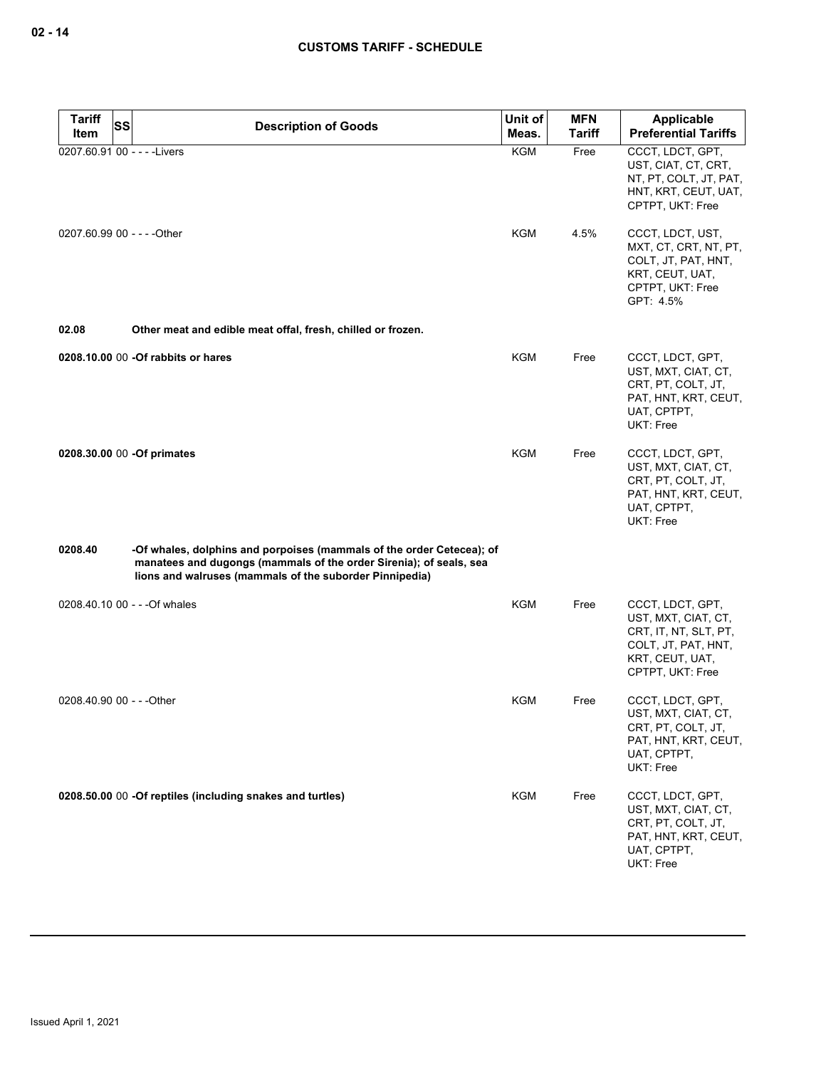| <b>Tariff</b><br>Item | <b>SS</b><br><b>Description of Goods</b>                                                                                                                                                               | Unit of<br>Meas. | <b>MFN</b><br><b>Tariff</b> | Applicable<br><b>Preferential Tariffs</b>                                                                                      |
|-----------------------|--------------------------------------------------------------------------------------------------------------------------------------------------------------------------------------------------------|------------------|-----------------------------|--------------------------------------------------------------------------------------------------------------------------------|
|                       | 0207.60.91 00 - - - - Livers                                                                                                                                                                           | KGM              | Free                        | CCCT, LDCT, GPT,<br>UST, CIAT, CT, CRT,<br>NT, PT, COLT, JT, PAT,<br>HNT, KRT, CEUT, UAT,<br>CPTPT, UKT: Free                  |
|                       | 0207.60.99 00 - - - - Other                                                                                                                                                                            | <b>KGM</b>       | 4.5%                        | CCCT, LDCT, UST,<br>MXT, CT, CRT, NT, PT,<br>COLT, JT, PAT, HNT,<br>KRT, CEUT, UAT,<br>CPTPT, UKT: Free<br>GPT: 4.5%           |
| 02.08                 | Other meat and edible meat offal, fresh, chilled or frozen.                                                                                                                                            |                  |                             |                                                                                                                                |
|                       | 0208.10.00 00 -Of rabbits or hares                                                                                                                                                                     | <b>KGM</b>       | Free                        | CCCT, LDCT, GPT,<br>UST, MXT, CIAT, CT,<br>CRT, PT, COLT, JT,<br>PAT, HNT, KRT, CEUT,<br>UAT, CPTPT,<br><b>UKT: Free</b>       |
|                       | 0208.30.00 00 -Of primates                                                                                                                                                                             | KGM              | Free                        | CCCT, LDCT, GPT,<br>UST, MXT, CIAT, CT,<br>CRT, PT, COLT, JT,<br>PAT, HNT, KRT, CEUT,<br>UAT, CPTPT,<br>UKT: Free              |
| 0208.40               | -Of whales, dolphins and porpoises (mammals of the order Cetecea); of<br>manatees and dugongs (mammals of the order Sirenia); of seals, sea<br>lions and walruses (mammals of the suborder Pinnipedia) |                  |                             |                                                                                                                                |
|                       | 0208.40.10 00 - - - Of whales                                                                                                                                                                          | KGM              | Free                        | CCCT, LDCT, GPT,<br>UST, MXT, CIAT, CT,<br>CRT, IT, NT, SLT, PT,<br>COLT, JT, PAT, HNT,<br>KRT, CEUT, UAT,<br>CPTPT, UKT: Free |
|                       | 0208.40.90 00 - - - Other                                                                                                                                                                              | KGM              | Free                        | CCCT, LDCT, GPT,<br>UST, MXT, CIAT, CT,<br>CRT, PT, COLT, JT,<br>PAT, HNT, KRT, CEUT,<br>UAT, CPTPT,<br>UKT: Free              |
|                       | 0208.50.00 00 -Of reptiles (including snakes and turtles)                                                                                                                                              | KGM              | Free                        | CCCT, LDCT, GPT,<br>UST, MXT, CIAT, CT,<br>CRT, PT, COLT, JT,<br>PAT, HNT, KRT, CEUT,<br>UAT, CPTPT,<br>UKT: Free              |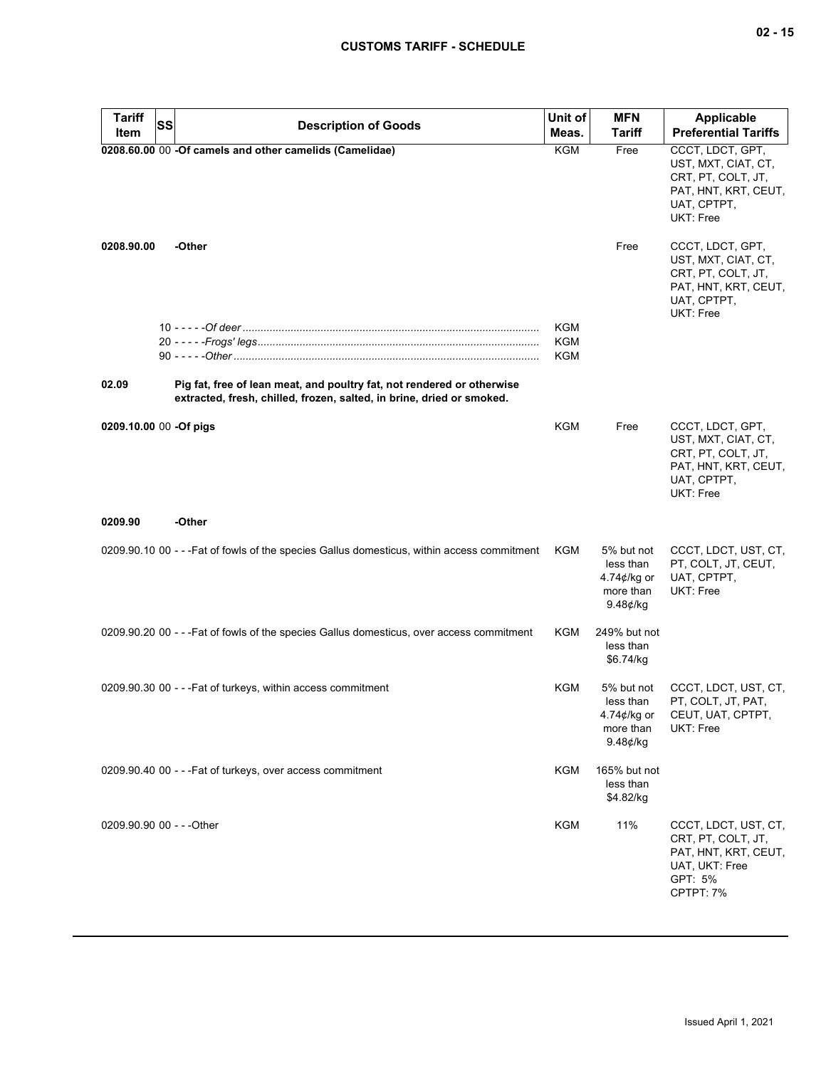| <b>Tariff</b><br><b>SS</b><br><b>Description of Goods</b><br>Item                                                                                        | Unit of<br>Meas. | <b>MFN</b><br>Tariff                                                   | <b>Applicable</b><br><b>Preferential Tariffs</b>                                                                  |
|----------------------------------------------------------------------------------------------------------------------------------------------------------|------------------|------------------------------------------------------------------------|-------------------------------------------------------------------------------------------------------------------|
| 0208.60.00 00 -Of camels and other camelids (Camelidae)                                                                                                  | <b>KGM</b>       | Free                                                                   | CCCT, LDCT, GPT,<br>UST, MXT, CIAT, CT,<br>CRT, PT, COLT, JT,<br>PAT, HNT, KRT, CEUT,<br>UAT, CPTPT,<br>UKT: Free |
| 0208.90.00<br>-Other                                                                                                                                     |                  | Free                                                                   | CCCT, LDCT, GPT,<br>UST, MXT, CIAT, CT,<br>CRT, PT, COLT, JT,<br>PAT, HNT, KRT, CEUT,<br>UAT, CPTPT,<br>UKT: Free |
|                                                                                                                                                          | KGM<br>KGM       |                                                                        |                                                                                                                   |
|                                                                                                                                                          | <b>KGM</b>       |                                                                        |                                                                                                                   |
| Pig fat, free of lean meat, and poultry fat, not rendered or otherwise<br>02.09<br>extracted, fresh, chilled, frozen, salted, in brine, dried or smoked. |                  |                                                                        |                                                                                                                   |
| 0209.10.00 00 -Of pigs                                                                                                                                   | KGM              | Free                                                                   | CCCT, LDCT, GPT,<br>UST, MXT, CIAT, CT,<br>CRT, PT, COLT, JT,<br>PAT, HNT, KRT, CEUT,<br>UAT, CPTPT,<br>UKT: Free |
| -Other<br>0209.90                                                                                                                                        |                  |                                                                        |                                                                                                                   |
| 0209.90.10 00 - - - Fat of fowls of the species Gallus domesticus, within access commitment                                                              | KGM              | 5% but not<br>less than<br>4.74 $\phi$ /kg or<br>more than<br>9.48¢/kg | CCCT, LDCT, UST, CT,<br>PT, COLT, JT, CEUT,<br>UAT, CPTPT,<br>UKT: Free                                           |
| 0209.90.20 00 - - - Fat of fowls of the species Gallus domesticus, over access commitment                                                                | KGM              | 249% but not<br>less than<br>\$6.74/kg                                 |                                                                                                                   |
| 0209.90.30 00 - - - Fat of turkeys, within access commitment                                                                                             | KGM              | 5% but not<br>less than<br>4.74¢/kg or<br>more than<br>$9.48$ ¢/ka     | CCCT, LDCT, UST, CT,<br>PT, COLT, JT, PAT,<br>CEUT, UAT, CPTPT,<br>UKT: Free                                      |
| 0209.90.40 00 - - - Fat of turkeys, over access commitment                                                                                               | KGM              | 165% but not<br>less than<br>\$4.82/kg                                 |                                                                                                                   |
| 0209.90.90 00 - - - Other                                                                                                                                | KGM              | 11%                                                                    | CCCT, LDCT, UST, CT,<br>CRT, PT, COLT, JT,<br>PAT, HNT, KRT, CEUT,<br>UAT, UKT: Free<br>GPT: 5%<br>CPTPT: 7%      |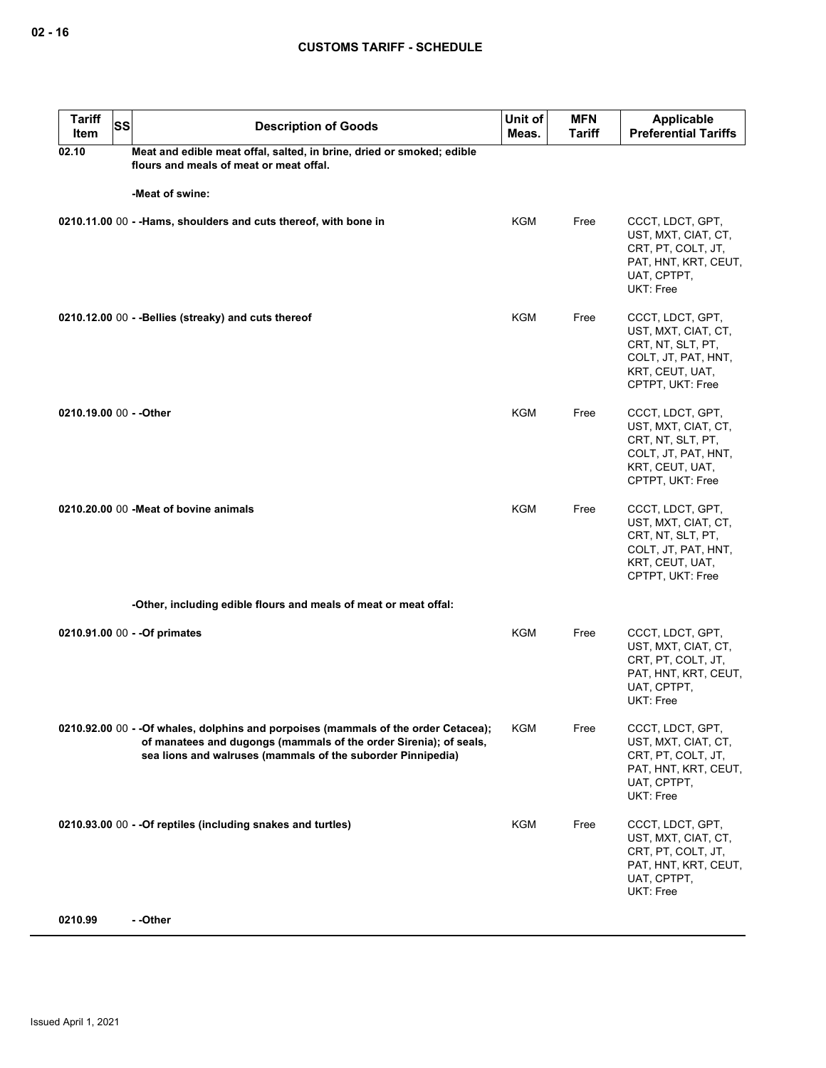| <b>Tariff</b><br>Item   | <b>SS</b><br><b>Description of Goods</b>                                                                                                                                                                                | Unit of<br>Meas. | <b>MFN</b><br><b>Tariff</b> | <b>Applicable</b><br><b>Preferential Tariffs</b>                                                                           |  |  |  |
|-------------------------|-------------------------------------------------------------------------------------------------------------------------------------------------------------------------------------------------------------------------|------------------|-----------------------------|----------------------------------------------------------------------------------------------------------------------------|--|--|--|
| 02.10                   | Meat and edible meat offal, salted, in brine, dried or smoked; edible<br>flours and meals of meat or meat offal.                                                                                                        |                  |                             |                                                                                                                            |  |  |  |
|                         | -Meat of swine:                                                                                                                                                                                                         |                  |                             |                                                                                                                            |  |  |  |
|                         | 0210.11.00 00 - -Hams, shoulders and cuts thereof, with bone in                                                                                                                                                         | <b>KGM</b>       | Free                        | CCCT, LDCT, GPT,<br>UST, MXT, CIAT, CT,<br>CRT, PT, COLT, JT,<br>PAT, HNT, KRT, CEUT,<br>UAT, CPTPT,<br><b>UKT: Free</b>   |  |  |  |
|                         | 0210.12.00 00 - - Bellies (streaky) and cuts thereof                                                                                                                                                                    | KGM              | Free                        | CCCT, LDCT, GPT,<br>UST, MXT, CIAT, CT,<br>CRT, NT, SLT, PT,<br>COLT, JT, PAT, HNT,<br>KRT, CEUT, UAT,<br>CPTPT, UKT: Free |  |  |  |
| 0210.19.00 00 - - Other |                                                                                                                                                                                                                         | <b>KGM</b>       | Free                        | CCCT, LDCT, GPT,<br>UST, MXT, CIAT, CT,<br>CRT, NT, SLT, PT,<br>COLT, JT, PAT, HNT,<br>KRT, CEUT, UAT,<br>CPTPT, UKT: Free |  |  |  |
|                         | 0210.20.00 00 - Meat of bovine animals                                                                                                                                                                                  | <b>KGM</b>       | Free                        | CCCT, LDCT, GPT,<br>UST, MXT, CIAT, CT,<br>CRT, NT, SLT, PT,<br>COLT, JT, PAT, HNT,<br>KRT, CEUT, UAT,<br>CPTPT, UKT: Free |  |  |  |
|                         | -Other, including edible flours and meals of meat or meat offal:                                                                                                                                                        |                  |                             |                                                                                                                            |  |  |  |
|                         | 0210.91.00 00 - - Of primates                                                                                                                                                                                           | KGM              | Free                        | CCCT, LDCT, GPT,<br>UST, MXT, CIAT, CT,<br>CRT, PT, COLT, JT,<br>PAT, HNT, KRT, CEUT,<br>UAT, CPTPT,<br>UKT: Free          |  |  |  |
|                         | 0210.92.00 00 - - Of whales, dolphins and porpoises (mammals of the order Cetacea);<br>of manatees and dugongs (mammals of the order Sirenia); of seals,<br>sea lions and walruses (mammals of the suborder Pinnipedia) | KGM              | Free                        | CCCT, LDCT, GPT,<br>UST, MXT, CIAT, CT,<br>CRT, PT, COLT, JT,<br>PAT, HNT, KRT, CEUT,<br>UAT, CPTPT,<br>UKT: Free          |  |  |  |
|                         | 0210.93.00 00 - - Of reptiles (including snakes and turtles)                                                                                                                                                            | <b>KGM</b>       | Free                        | CCCT, LDCT, GPT,<br>UST, MXT, CIAT, CT,<br>CRT, PT, COLT, JT,<br>PAT, HNT, KRT, CEUT,<br>UAT, CPTPT,<br>UKT: Free          |  |  |  |
| 0210.99                 | - -Other                                                                                                                                                                                                                |                  |                             |                                                                                                                            |  |  |  |